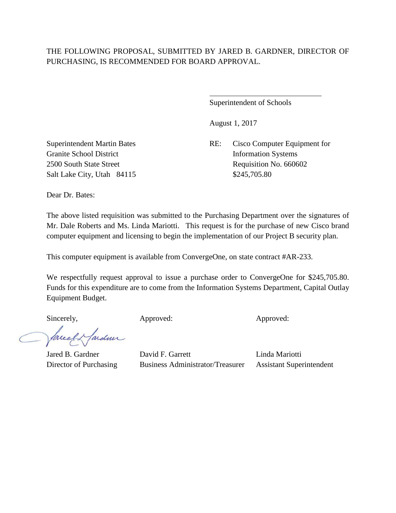$\overline{a}$ 

Superintendent of Schools

August 1, 2017

Superintendent Martin Bates RE: Cisco Computer Equipment for 2500 South State Street Requisition No. 660602

Granite School District Information Systems Salt Lake City, Utah 84115 \$245,705.80

Dear Dr. Bates:

The above listed requisition was submitted to the Purchasing Department over the signatures of Mr. Dale Roberts and Ms. Linda Mariotti. This request is for the purchase of new Cisco brand computer equipment and licensing to begin the implementation of our Project B security plan.

This computer equipment is available from ConvergeOne, on state contract #AR-233.

We respectfully request approval to issue a purchase order to ConvergeOne for \$245,705.80. Funds for this expenditure are to come from the Information Systems Department, Capital Outlay Equipment Budget.

Sincerely, Approved: Approved: Approved: Approved:

facely fardeur

Jared B. Gardner David F. Garrett Linda Mariotti Director of Purchasing Business Administrator/Treasurer Assistant Superintendent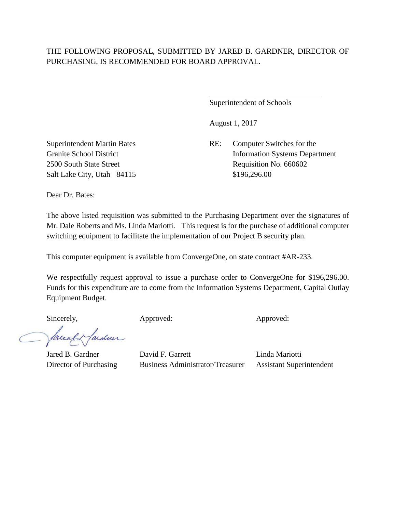$\overline{a}$ 

Superintendent of Schools

August 1, 2017

Superintendent Martin Bates RE: Computer Switches for the Granite School District Information Systems Department 2500 South State Street Requisition No. 660602

Salt Lake City, Utah 84115 \$196,296.00

Dear Dr. Bates:

The above listed requisition was submitted to the Purchasing Department over the signatures of Mr. Dale Roberts and Ms. Linda Mariotti. This request is for the purchase of additional computer switching equipment to facilitate the implementation of our Project B security plan.

This computer equipment is available from ConvergeOne, on state contract #AR-233.

We respectfully request approval to issue a purchase order to ConvergeOne for \$196,296.00. Funds for this expenditure are to come from the Information Systems Department, Capital Outlay Equipment Budget.

Sincerely, Approved: Approved: Approved: Approved:

facely fardeur

Jared B. Gardner David F. Garrett Linda Mariotti Director of Purchasing Business Administrator/Treasurer Assistant Superintendent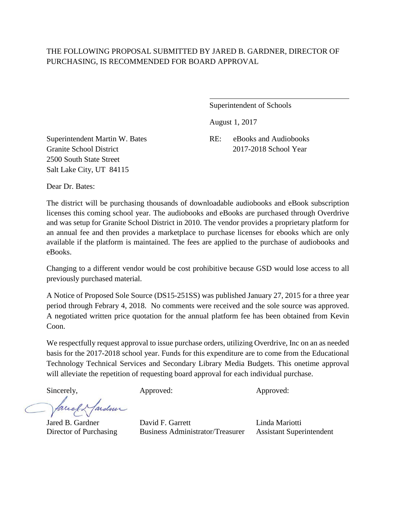Superintendent of Schools

August 1, 2017

Superintendent Martin W. Bates RE: eBooks and Audiobooks Granite School District 2017-2018 School Year 2500 South State Street Salt Lake City, UT 84115

Dear Dr. Bates:

The district will be purchasing thousands of downloadable audiobooks and eBook subscription licenses this coming school year. The audiobooks and eBooks are purchased through Overdrive and was setup for Granite School District in 2010. The vendor provides a proprietary platform for an annual fee and then provides a marketplace to purchase licenses for ebooks which are only available if the platform is maintained. The fees are applied to the purchase of audiobooks and eBooks.

Changing to a different vendor would be cost prohibitive because GSD would lose access to all previously purchased material.

A Notice of Proposed Sole Source (DS15-251SS) was published January 27, 2015 for a three year period through Febrary 4, 2018. No comments were received and the sole source was approved. A negotiated written price quotation for the annual platform fee has been obtained from Kevin Coon.

We respectfully request approval to issue purchase orders, utilizing Overdrive, Inc on an as needed basis for the 2017-2018 school year. Funds for this expenditure are to come from the Educational Technology Technical Services and Secondary Library Media Budgets. This onetime approval will alleviate the repetition of requesting board approval for each individual purchase.

fareel ardmi

Sincerely, Approved: Approved: Approved: Approved:

Jared B. Gardner David F. Garrett Linda Mariotti Director of Purchasing Business Administrator/Treasurer Assistant Superintendent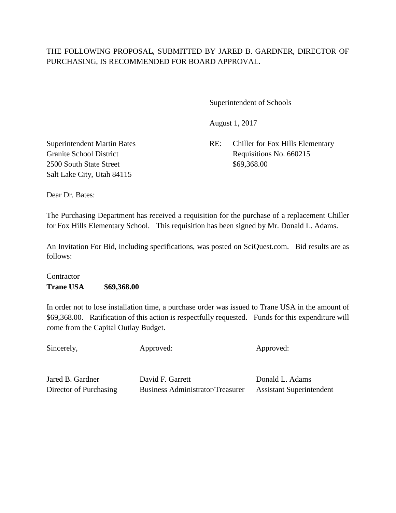$\overline{a}$ 

Superintendent of Schools

August 1, 2017

Superintendent Martin Bates RE: Chiller for Fox Hills Elementary Granite School District Requisitions No. 660215

2500 South State Street \$69,368.00 Salt Lake City, Utah 84115

Dear Dr. Bates:

The Purchasing Department has received a requisition for the purchase of a replacement Chiller for Fox Hills Elementary School. This requisition has been signed by Mr. Donald L. Adams.

An Invitation For Bid, including specifications, was posted on SciQuest.com. Bid results are as follows:

# Contractor **Trane USA \$69,368.00**

In order not to lose installation time, a purchase order was issued to Trane USA in the amount of \$69,368.00. Ratification of this action is respectfully requested. Funds for this expenditure will come from the Capital Outlay Budget.

Sincerely, Approved: Approved: Approved: Approved:

Jared B. Gardner David F. Garrett Donald L. Adams

Director of Purchasing Business Administrator/Treasurer Assistant Superintendent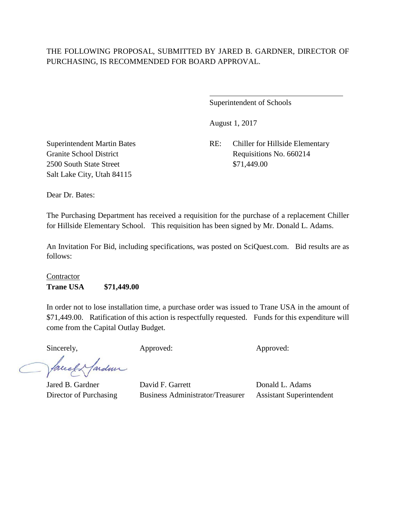$\overline{a}$ 

Superintendent of Schools

August 1, 2017

Superintendent Martin Bates RE: Chiller for Hillside Elementary Granite School District Requisitions No. 660214

2500 South State Street \$71,449.00 Salt Lake City, Utah 84115

Dear Dr. Bates:

The Purchasing Department has received a requisition for the purchase of a replacement Chiller for Hillside Elementary School. This requisition has been signed by Mr. Donald L. Adams.

An Invitation For Bid, including specifications, was posted on SciQuest.com. Bid results are as follows:

## Contractor **Trane USA \$71,449.00**

In order not to lose installation time, a purchase order was issued to Trane USA in the amount of \$71,449.00. Ratification of this action is respectfully requested. Funds for this expenditure will come from the Capital Outlay Budget.

Sincerely, Approved: Approved: Approved: Approved:

facely farden

Jared B. Gardner David F. Garrett Donald L. Adams Director of Purchasing Business Administrator/Treasurer Assistant Superintendent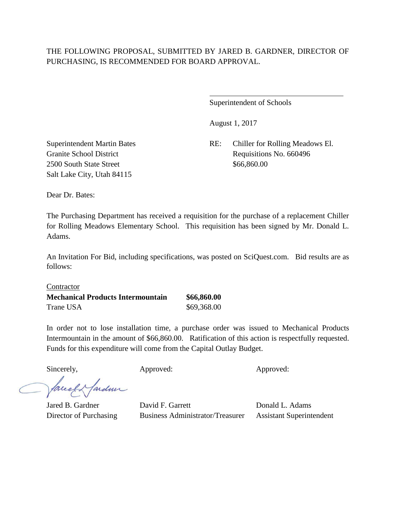l

Superintendent of Schools

August 1, 2017

Superintendent Martin Bates RE: Chiller for Rolling Meadows El. Granite School District Requisitions No. 660496

2500 South State Street \$66,860.00 Salt Lake City, Utah 84115

Dear Dr. Bates:

The Purchasing Department has received a requisition for the purchase of a replacement Chiller for Rolling Meadows Elementary School. This requisition has been signed by Mr. Donald L. Adams.

An Invitation For Bid, including specifications, was posted on SciQuest.com. Bid results are as follows:

**Contractor Mechanical Products Intermountain \$66,860.00** Trane USA  $$69,368.00$ 

In order not to lose installation time, a purchase order was issued to Mechanical Products Intermountain in the amount of \$66,860.00. Ratification of this action is respectfully requested. Funds for this expenditure will come from the Capital Outlay Budget.

Sincerely, Approved: Approved: Approved: Approved:

Marden facel

Jared B. Gardner David F. Garrett Donald L. Adams Director of Purchasing Business Administrator/Treasurer Assistant Superintendent